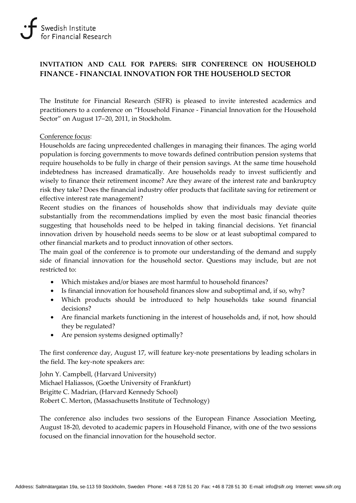# **INVITATION AND CALL FOR PAPERS: SIFR CONFERENCE ON HOUSEHOLD FINANCE - FINANCIAL INNOVATION FOR THE HOUSEHOLD SECTOR**

The Institute for Financial Research (SIFR) is pleased to invite interested academics and practitioners to a conference on "Household Finance - Financial Innovation for the Household Sector" on August 17−20, 2011, in Stockholm.

#### Conference focus:

Households are facing unprecedented challenges in managing their finances. The aging world population is forcing governments to move towards defined contribution pension systems that require households to be fully in charge of their pension savings. At the same time household indebtedness has increased dramatically. Are households ready to invest sufficiently and wisely to finance their retirement income? Are they aware of the interest rate and bankruptcy risk they take? Does the financial industry offer products that facilitate saving for retirement or effective interest rate management?

Recent studies on the finances of households show that individuals may deviate quite substantially from the recommendations implied by even the most basic financial theories suggesting that households need to be helped in taking financial decisions. Yet financial innovation driven by household needs seems to be slow or at least suboptimal compared to other financial markets and to product innovation of other sectors.

The main goal of the conference is to promote our understanding of the demand and supply side of financial innovation for the household sector. Questions may include, but are not restricted to:

- Which mistakes and/or biases are most harmful to household finances?
- Is financial innovation for household finances slow and suboptimal and, if so, why?
- Which products should be introduced to help households take sound financial decisions?
- Are financial markets functioning in the interest of households and, if not, how should they be regulated?
- Are pension systems designed optimally?

The first conference day, August 17, will feature key-note presentations by leading scholars in the field. The key-note speakers are:

John Y. Campbell, (Harvard University) Michael Haliassos, (Goethe University of Frankfurt) Brigitte C. Madrian, (Harvard Kennedy School) Robert C. Merton, (Massachusetts Institute of Technology)

The conference also includes two sessions of the European Finance Association Meeting, August 18-20, devoted to academic papers in Household Finance, with one of the two sessions focused on the financial innovation for the household sector.